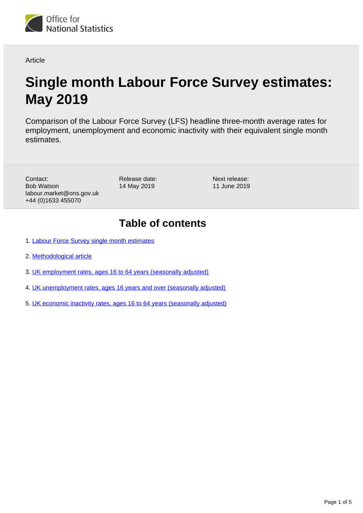

**Article** 

# **Single month Labour Force Survey estimates: May 2019**

Comparison of the Labour Force Survey (LFS) headline three-month average rates for employment, unemployment and economic inactivity with their equivalent single month estimates.

Contact: Bob Watson labour.market@ons.gov.uk +44 (0)1633 455070

Release date: 14 May 2019

Next release: 11 June 2019

## **Table of contents**

- 1. [Labour Force Survey single month estimates](#page-1-0)
- 2. [Methodological article](#page-2-0)
- 3. [UK employment rates, ages 16 to 64 years \(seasonally adjusted\)](#page-2-1)
- 4. [UK unemployment rates, ages 16 years and over \(seasonally adjusted\)](#page-3-0)
- 5. [UK economic inactivity rates, ages 16 to 64 years \(seasonally adjusted\)](#page-4-0)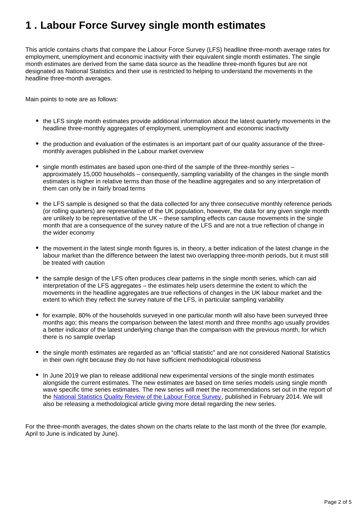## <span id="page-1-0"></span>**1 . Labour Force Survey single month estimates**

This article contains charts that compare the Labour Force Survey (LFS) headline three-month average rates for employment, unemployment and economic inactivity with their equivalent single month estimates. The single month estimates are derived from the same data source as the headline three-month figures but are not designated as National Statistics and their use is restricted to helping to understand the movements in the headline three-month averages.

Main points to note are as follows:

- the LFS single month estimates provide additional information about the latest quarterly movements in the headline three-monthly aggregates of employment, unemployment and economic inactivity
- the production and evaluation of the estimates is an important part of our quality assurance of the threemonthly averages published in the Labour market overview
- single month estimates are based upon one-third of the sample of the three-monthly series approximately 15,000 households – consequently, sampling variability of the changes in the single month estimates is higher in relative terms than those of the headline aggregates and so any interpretation of them can only be in fairly broad terms
- the LFS sample is designed so that the data collected for any three consecutive monthly reference periods (or rolling quarters) are representative of the UK population, however, the data for any given single month are unlikely to be representative of the UK – these sampling effects can cause movements in the single month that are a consequence of the survey nature of the LFS and are not a true reflection of change in the wider economy
- the movement in the latest single month figures is, in theory, a better indication of the latest change in the labour market than the difference between the latest two overlapping three-month periods, but it must still be treated with caution
- the sample design of the LFS often produces clear patterns in the single month series, which can aid interpretation of the LFS aggregates – the estimates help users determine the extent to which the movements in the headline aggregates are true reflections of changes in the UK labour market and the extent to which they reflect the survey nature of the LFS, in particular sampling variability
- for example, 80% of the households surveyed in one particular month will also have been surveyed three months ago; this means the comparison between the latest month and three months ago usually provides a better indicator of the latest underlying change than the comparison with the previous month, for which there is no sample overlap
- the single month estimates are regarded as an "official statistic" and are not considered National Statistics in their own right because they do not have sufficient methodological robustness
- In June 2019 we plan to release additional new experimental versions of the single month estimates alongside the current estimates. The new estimates are based on time series models using single month wave specific time series estimates. The new series will meet the recommendations set out in the report of the [National Statistics Quality Review of the Labour Force Survey,](http://www.ons.gov.uk/ons/guide-method/method-quality/quality/quality-reviews/list-of-current-national-statistics-quality-reviews/nsqr-series--2--report-no--1/index.html) published in February 2014. We will also be releasing a methodological article giving more detail regarding the new series.

For the three-month averages, the dates shown on the charts relate to the last month of the three (for example, April to June is indicated by June).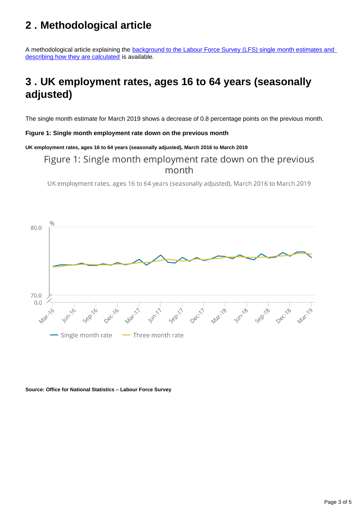## <span id="page-2-0"></span>**2 . Methodological article**

A methodological article explaining the **background to the Labour Force Survey (LFS)** single month estimates and [describing how they are calculated](http://A%20methodological%20article%20explaining%20the%20background%20to%20the%20Labour%20Force%20Survey%20(LFS)%20single%20month%20estimates%20and%20describing%20how%20they%20are%20calculated%20is%20available.) is available.

## <span id="page-2-1"></span>**3 . UK employment rates, ages 16 to 64 years (seasonally adjusted)**

The single month estimate for March 2019 shows a decrease of 0.8 percentage points on the previous month.

#### **Figure 1: Single month employment rate down on the previous month**

### **UK employment rates, ages 16 to 64 years (seasonally adjusted), March 2016 to March 2019**

### Figure 1: Single month employment rate down on the previous month

UK employment rates, ages 16 to 64 years (seasonally adjusted), March 2016 to March 2019



#### **Source: Office for National Statistics – Labour Force Survey**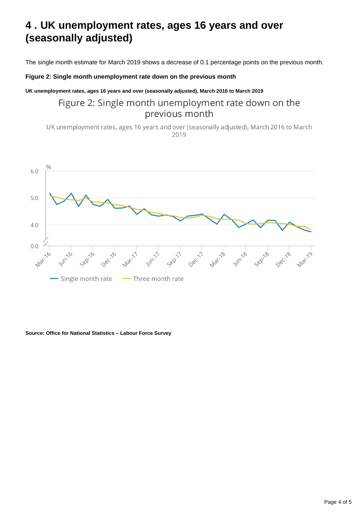## <span id="page-3-0"></span>**4 . UK unemployment rates, ages 16 years and over (seasonally adjusted)**

The single month estimate for March 2019 shows a decrease of 0.1 percentage points on the previous month.

### **Figure 2: Single month unemployment rate down on the previous month**

#### **UK unemployment rates, ages 16 years and over (seasonally adjusted), March 2016 to March 2019**

### Figure 2: Single month unemployment rate down on the previous month

UK unemployment rates, ages 16 years and over (seasonally adjusted), March 2016 to March 2019



**Source: Office for National Statistics – Labour Force Survey**